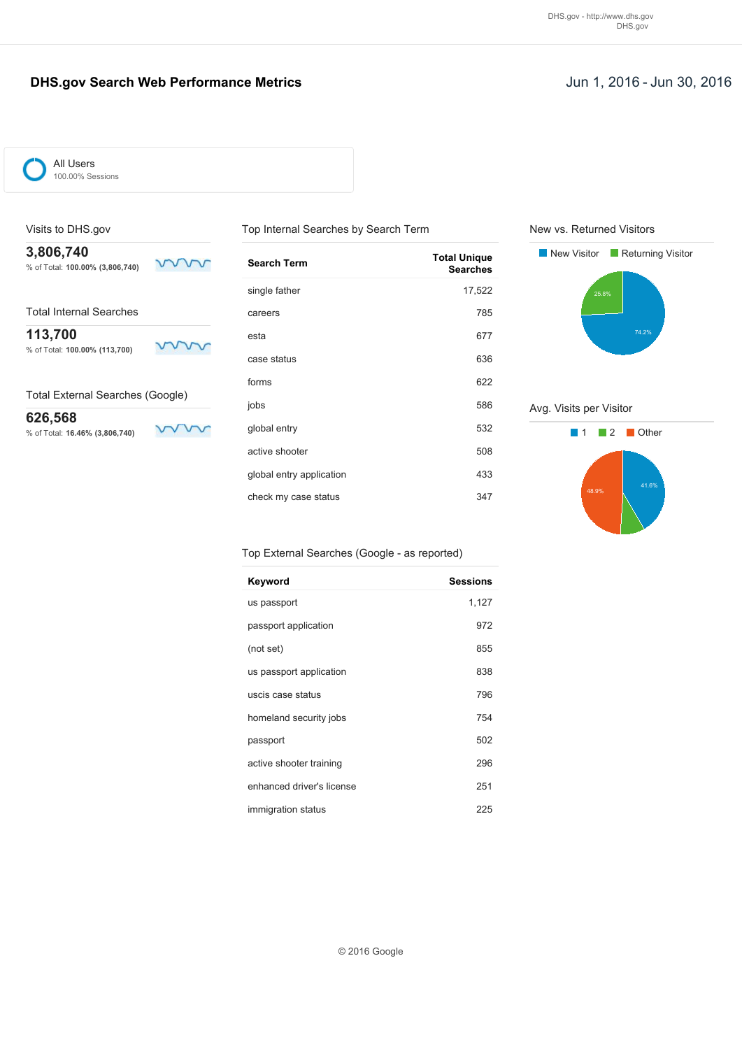### **DHS.gov Search Web Performance Metrics Jun 1, 2016 - Jun 30, 2016**

mm

mm

ww



All Users 100.00% Sessions

### Visits to DHS.gov

**3,806,740** % of Total: **100.00% (3,806,740)**

Total Internal Searches

**113,700**

% of Total: **100.00% (113,700)**

Total External Searches (Google)

**626,568** % of Total: **16.46% (3,806,740)**

| <b>Search Term</b>       | <b>Total Unique</b><br><b>Searches</b> |
|--------------------------|----------------------------------------|
| single father            | 17,522                                 |
| careers                  | 785                                    |
| esta                     | 677                                    |
| case status              | 636                                    |
| forms                    | 622                                    |
| jobs                     | 586                                    |
| global entry             | 532                                    |
| active shooter           | 508                                    |
| global entry application | 433                                    |
| check my case status     | 347                                    |

Top Internal Searches by Search Term

Top External Searches (Google - as reported)

| Keyword                   | <b>Sessions</b> |
|---------------------------|-----------------|
| us passport               | 1,127           |
| passport application      | 972             |
| (not set)                 | 855             |
| us passport application   | 838             |
| uscis case status         | 796             |
| homeland security jobs    | 754             |
| passport                  | 502             |
| active shooter training   | 296             |
| enhanced driver's license | 251             |
| immigration status        | 225             |

New vs. Returned Visitors



Avg. Visits per Visitor

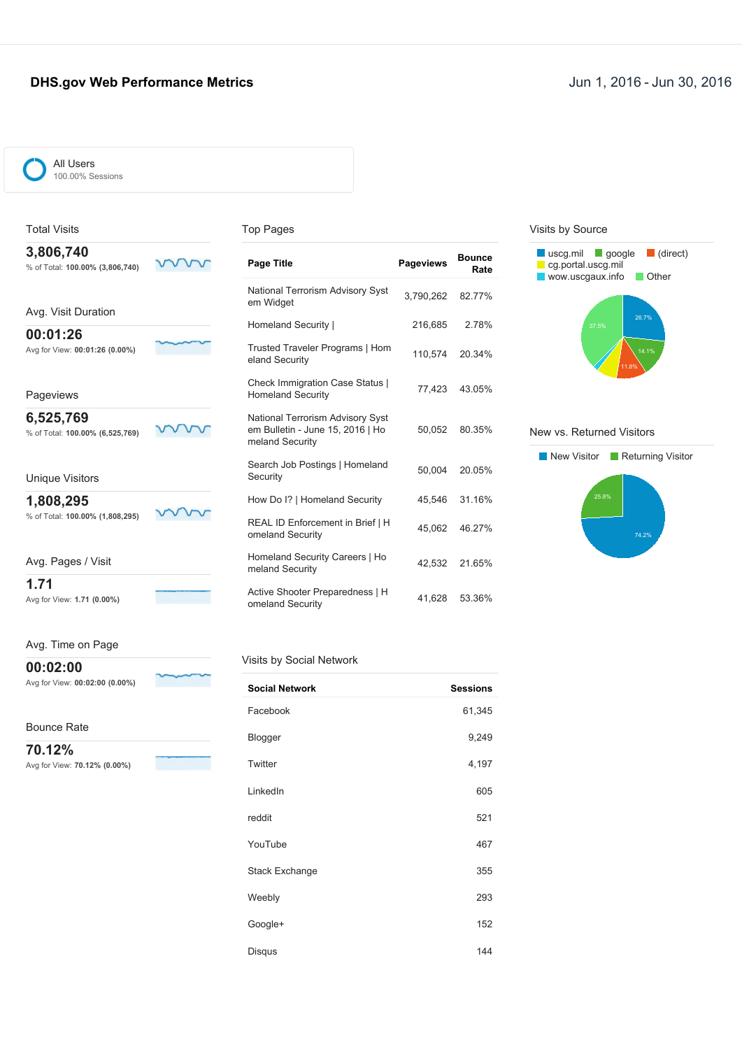### **DHS.gov Web Performance Metrics Jun 1, 2016 - Jun 30, 2016**



Total Visits

100.00% Sessions

#### Top Pages

| 3,806,740<br>% of Total: 100.00% (3,806,740) | <b>Page Title</b>                                                                       | <b>Pageviews</b> | <b>Bounce</b><br>Rate |
|----------------------------------------------|-----------------------------------------------------------------------------------------|------------------|-----------------------|
| Avg. Visit Duration                          | National Terrorism Advisory Syst<br>em Widget                                           | 3,790,262        | 82.77%                |
|                                              | Homeland Security                                                                       | 216,685          | 2.78%                 |
| 00:01:26<br>Avg for View: 00:01:26 (0.00%)   | Trusted Traveler Programs   Hom<br>eland Security                                       | 110,574          | 20.34%                |
| Pageviews                                    | <b>Check Immigration Case Status  </b><br><b>Homeland Security</b>                      | 77,423           | 43.05%                |
| 6,525,769<br>% of Total: 100.00% (6,525,769) | National Terrorism Advisory Syst<br>em Bulletin - June 15, 2016   Ho<br>meland Security | 50.052           | 80.35%                |
| <b>Unique Visitors</b>                       | Search Job Postings   Homeland<br>Security                                              | 50.004           | 20.05%                |
| 1,808,295                                    | How Do I?   Homeland Security                                                           | 45,546           | 31.16%                |
| % of Total: 100.00% (1,808,295)              | REAL ID Enforcement in Brief   H<br>omeland Security                                    | 45.062           | 46.27%                |
| Avg. Pages / Visit                           | Homeland Security Careers   Ho<br>meland Security                                       | 42.532           | 21.65%                |
| 1.71<br>Avg for View: 1.71 (0.00%)           | Active Shooter Preparedness   H<br>omeland Security                                     | 41,628           | 53.36%                |

### Visits by Source



#### New vs. Returned Visitors



### Avg. Time on Page

**00:02:00** Avg for View: **00:02:00 (0.00%)**

#### Visits by Social Network

| <b>Social Network</b> | <b>Sessions</b> |
|-----------------------|-----------------|
| Facebook              | 61,345          |
| Blogger               | 9,249           |
| Twitter               | 4,197           |
| LinkedIn              | 605             |
| reddit                | 521             |
| YouTube               | 467             |
| <b>Stack Exchange</b> | 355             |
| Weebly                | 293             |
| Google+               | 152             |
| Disqus                | 144             |

 $\sim$ 

∽

Bounce Rate

**70.12%** Avg for View: **70.12% (0.00%)**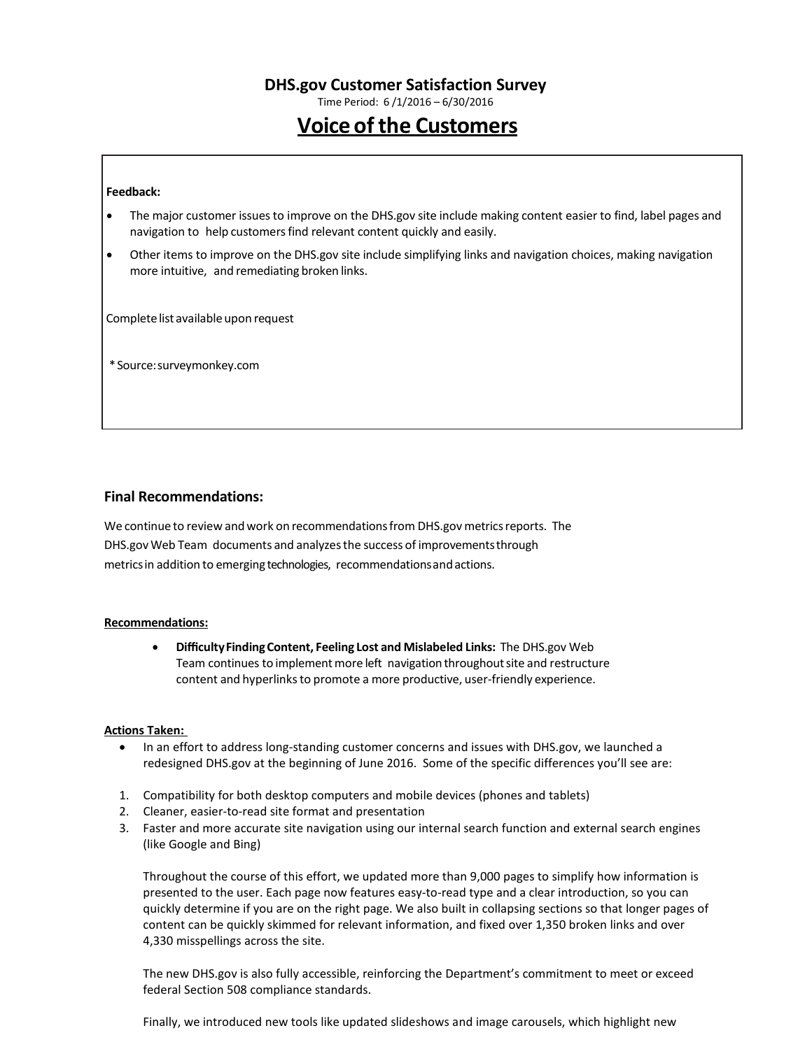Time Period: 6 /1/2016 – 6/30/2016

# **Voice of the Customers**

#### **Feedback:**

- The major customer issuesto improve on the DHS.gov site include making content easier to find, label pages and navigation to help customers find relevant content quickly and easily.
- Other items to improve on the DHS.gov site include simplifying links and navigation choices, making navigation more intuitive, and remediating broken links.

Complete list available upon request

\*Source:surveymonkey.com

### **Final Recommendations:**

We continue to review and work on recommendations from DHS.gov metrics reports. The DHS.gov Web Team documents and analyzesthe success of improvementsthrough metricsin addition to emerging technologies, recommendationsandactions.

#### **Recommendations:**

• **DifficultyFindingContent, Feeling Lost and Mislabeled Links:** The DHS.gov Web Team continues to implement more left navigation throughout site and restructure content and hyperlinks to promote a more productive, user-friendly experience.

#### **Actions Taken:**

- In an effort to address long-standing customer concerns and issues with DHS.gov, we launched a redesigned DHS.gov at the beginning of June 2016. Some of the specific differences you'll see are:
- 1. Compatibility for both desktop computers and mobile devices (phones and tablets)
- 2. Cleaner, easier-to-read site format and presentation
- 3. Faster and more accurate site navigation using our internal search function and external search engines (like Google and Bing)

Throughout the course of this effort, we updated more than 9,000 pages to simplify how information is presented to the user. Each page now features easy-to-read type and a clear introduction, so you can quickly determine if you are on the right page. We also built in collapsing sections so that longer pages of content can be quickly skimmed for relevant information, and fixed over 1,350 broken links and over 4,330 misspellings across the site.

The new DHS.gov is also fully accessible, reinforcing the Department's commitment to meet or exceed federal Section 508 compliance standards.

Finally, we introduced new tools like updated slideshows and image carousels, which highlight new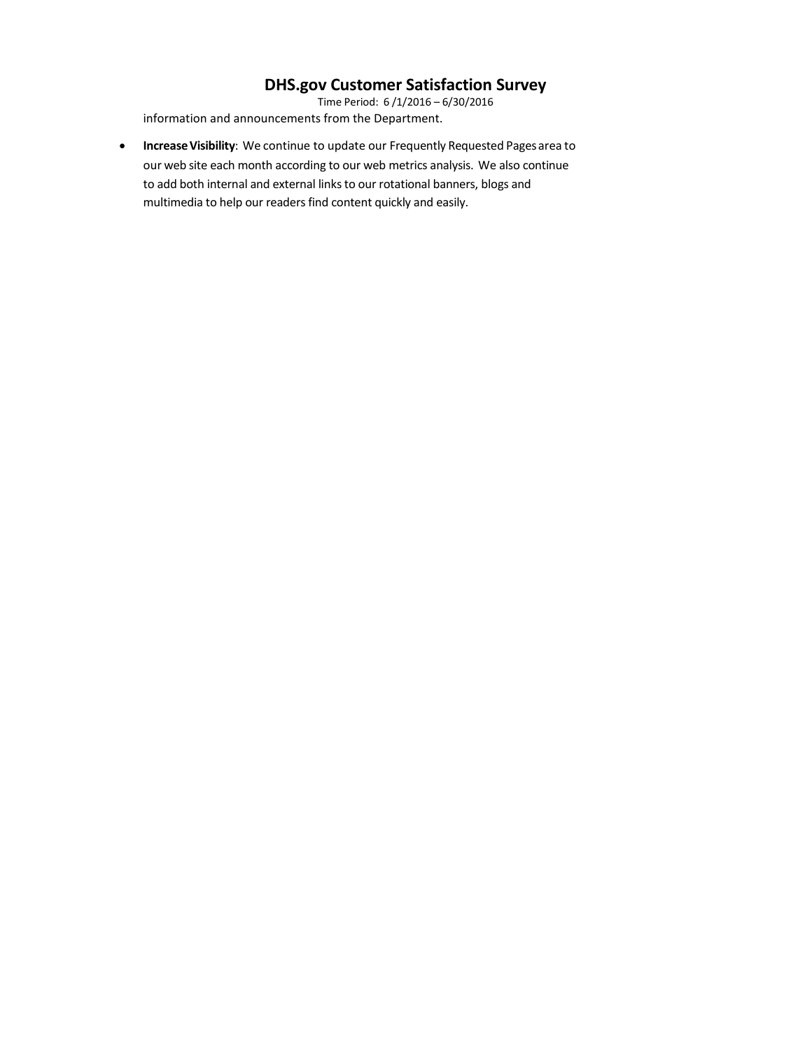Time Period: 6 /1/2016 – 6/30/2016 information and announcements from the Department.

• **IncreaseVisibility**: We continue to update our Frequently Requested Pagesarea to our web site each month according to our web metrics analysis. We also continue to add both internal and external links to our rotational banners, blogs and multimedia to help our readers find content quickly and easily.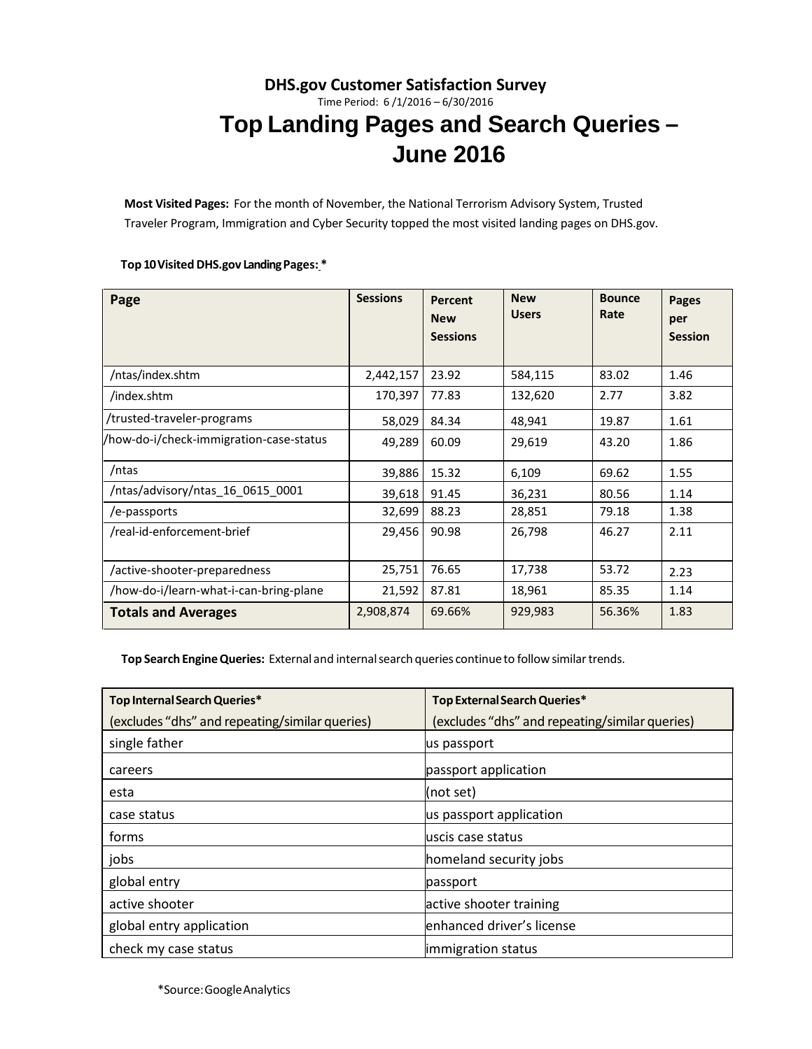# **DHS.gov Customer Satisfaction Survey** Time Period: 6 /1/2016 – 6/30/2016 **Top Landing Pages and Search Queries – June 2016**

**Most Visited Pages:** For the month of November, the National Terrorism Advisory System, Trusted Traveler Program, Immigration and Cyber Security topped the most visited landing pages on DHS.gov.

#### **Top 10Visited DHS.gov LandingPages: \***

| Page                                    | <b>Sessions</b> | Percent<br><b>New</b> | <b>New</b><br><b>Users</b> | <b>Bounce</b><br>Rate | <b>Pages</b><br>per |
|-----------------------------------------|-----------------|-----------------------|----------------------------|-----------------------|---------------------|
|                                         |                 | <b>Sessions</b>       |                            |                       | <b>Session</b>      |
| /ntas/index.shtm                        | 2,442,157       | 23.92                 | 584,115                    | 83.02                 | 1.46                |
| /index.shtm                             | 170,397         | 77.83                 | 132,620                    | 2.77                  | 3.82                |
| /trusted-traveler-programs              | 58,029          | 84.34                 | 48,941                     | 19.87                 | 1.61                |
| /how-do-i/check-immigration-case-status | 49,289          | 60.09                 | 29,619                     | 43.20                 | 1.86                |
| /ntas                                   | 39,886          | 15.32                 | 6,109                      | 69.62                 | 1.55                |
| /ntas/advisory/ntas 16 0615 0001        | 39,618          | 91.45                 | 36,231                     | 80.56                 | 1.14                |
| /e-passports                            | 32,699          | 88.23                 | 28,851                     | 79.18                 | 1.38                |
| /real-id-enforcement-brief              | 29,456          | 90.98                 | 26,798                     | 46.27                 | 2.11                |
| /active-shooter-preparedness            | 25,751          | 76.65                 | 17,738                     | 53.72                 | 2.23                |
| /how-do-i/learn-what-i-can-bring-plane  | 21,592          | 87.81                 | 18,961                     | 85.35                 | 1.14                |
| <b>Totals and Averages</b>              | 2,908,874       | 69.66%                | 929,983                    | 56.36%                | 1.83                |

**Top Search EngineQueries:** External and internalsearch queries continueto followsimilartrends.

| Top Internal Search Queries*                   | Top External Search Queries*                   |
|------------------------------------------------|------------------------------------------------|
| (excludes "dhs" and repeating/similar queries) | (excludes "dhs" and repeating/similar queries) |
| single father                                  | us passport                                    |
| careers                                        | passport application                           |
| esta                                           | (not set)                                      |
| case status                                    | us passport application                        |
| forms                                          | luscis case status                             |
| jobs                                           | homeland security jobs                         |
| global entry                                   | passport                                       |
| active shooter                                 | active shooter training                        |
| global entry application                       | enhanced driver's license                      |
| check my case status                           | immigration status                             |

\*Source:GoogleAnalytics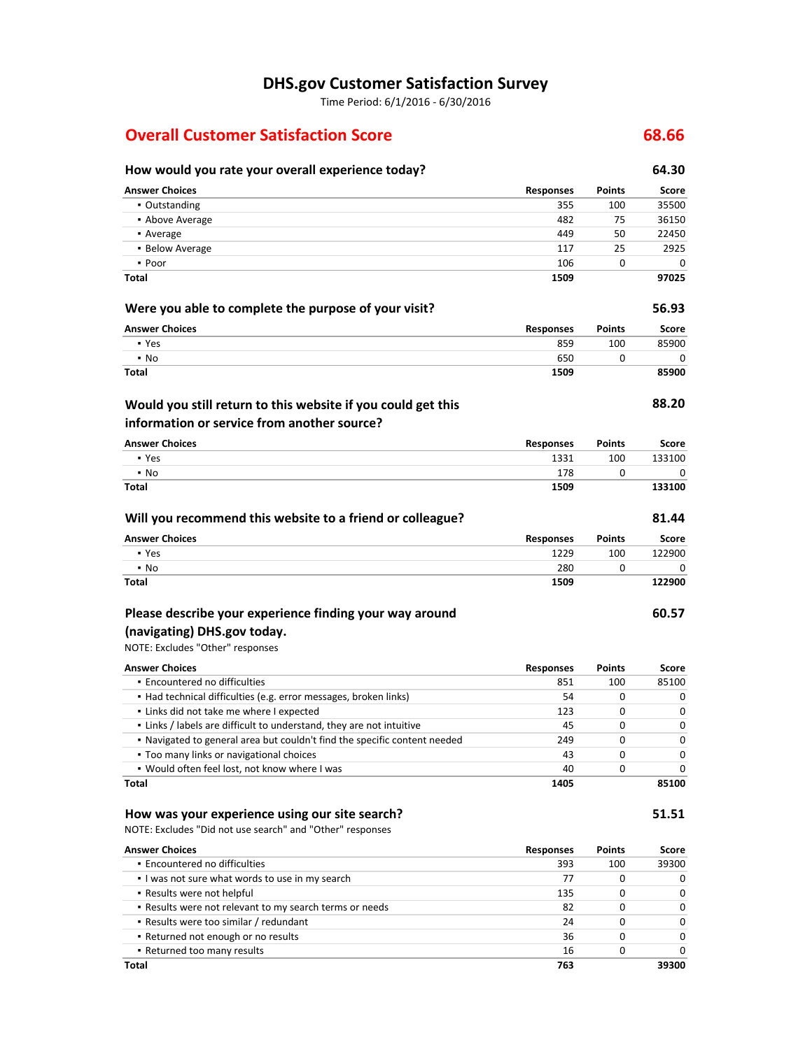Time Period: 6/1/2016 - 6/30/2016

# **Overall Customer Satisfaction Score 68.66**

| How would you rate your overall experience today?                         |                  |               | 64.30  |
|---------------------------------------------------------------------------|------------------|---------------|--------|
| <b>Answer Choices</b>                                                     | <b>Responses</b> | <b>Points</b> | Score  |
| • Outstanding                                                             | 355              | 100           | 35500  |
| • Above Average                                                           | 482              | 75            | 36150  |
| • Average                                                                 | 449              | 50            | 22450  |
| • Below Average                                                           | 117              | 25            | 2925   |
| • Poor                                                                    | 106              | 0             | 0      |
| Total                                                                     | 1509             |               | 97025  |
| Were you able to complete the purpose of your visit?                      |                  |               | 56.93  |
| <b>Answer Choices</b>                                                     | <b>Responses</b> | <b>Points</b> | Score  |
| • Yes                                                                     | 859              | 100           | 85900  |
| $\blacksquare$ No                                                         | 650              | 0             | 0      |
| Total                                                                     | 1509             |               | 85900  |
| Would you still return to this website if you could get this              |                  |               | 88.20  |
| information or service from another source?                               |                  |               |        |
| <b>Answer Choices</b>                                                     | <b>Responses</b> | Points        | Score  |
| • Yes                                                                     | 1331             | 100           | 133100 |
| $\cdot$ No                                                                | 178              | 0             | 0      |
| Total                                                                     | 1509             |               | 133100 |
| Will you recommend this website to a friend or colleague?                 |                  |               | 81.44  |
| <b>Answer Choices</b>                                                     | <b>Responses</b> | Points        | Score  |
| • Yes                                                                     | 1229             | 100           | 122900 |
| $\blacksquare$ No                                                         | 280              | 0             | 0      |
| Total                                                                     | 1509             |               | 122900 |
| Please describe your experience finding your way around                   |                  |               | 60.57  |
| (navigating) DHS.gov today.                                               |                  |               |        |
| NOTE: Excludes "Other" responses                                          |                  |               |        |
| <b>Answer Choices</b>                                                     | <b>Responses</b> | <b>Points</b> | Score  |
| • Encountered no difficulties                                             | 851              | 100           | 85100  |
| • Had technical difficulties (e.g. error messages, broken links)          | 54               | 0             | 0      |
| . Links did not take me where I expected                                  | 123              | 0             | 0      |
| . Links / labels are difficult to understand, they are not intuitive      | 45               | 0             | 0      |
| . Navigated to general area but couldn't find the specific content needed | 249              | 0             | 0      |
| • Too many links or navigational choices                                  | 43               | 0             | 0      |
| . Would often feel lost, not know where I was                             | 40               | 0             | 0      |
| Total                                                                     | 1405             |               | 85100  |
| How was your experience using our site search?                            |                  |               | 51.51  |
| NOTE: Excludes "Did not use search" and "Other" responses                 |                  |               |        |
| <b>Answer Choices</b>                                                     | <b>Responses</b> | <b>Points</b> | Score  |
| . Encountered no difficulties                                             | 393              | 100           | 39300  |
| . I was not sure what words to use in my search                           | 77               | 0             | 0      |
| . Results were not helpful                                                | 135              | 0             | 0      |
| • Results were not relevant to my search terms or needs                   | 82               | 0             | 0      |
| • Results were too similar / redundant                                    | 24               | 0             | 0      |
| • Returned not enough or no results                                       | 36               | 0             | 0      |
| - Returned too many results                                               | 16               | 0             | 0      |